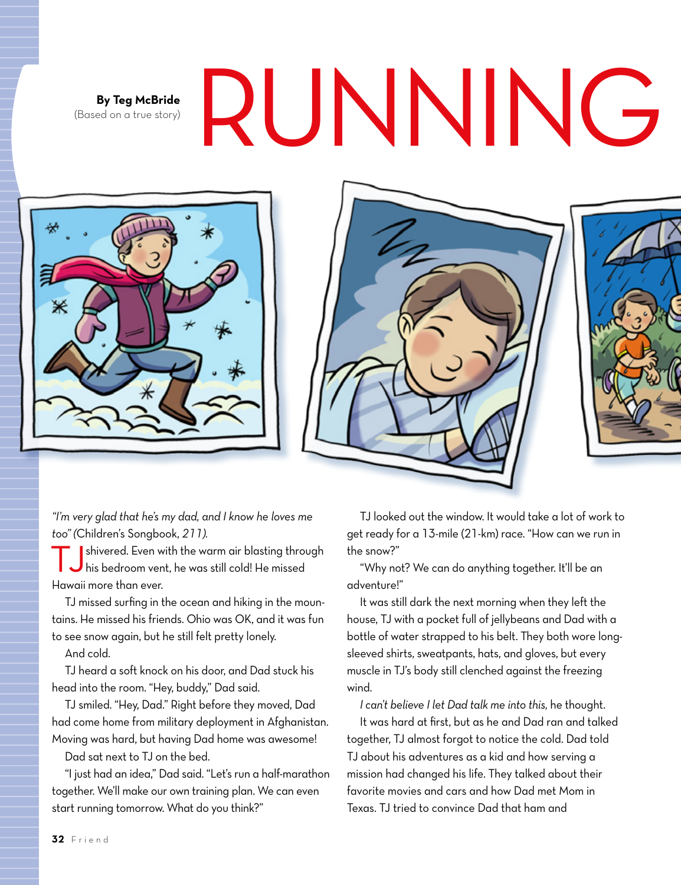(Based on a true story)

## By Teg McBride **RUNNING**







*"I'm very glad that he's my dad, and I know he loves me too" (*Children's Songbook, *211).*

TJshivered. Even with the warm air blasting through his bedroom vent, he was still cold! He missed Hawaii more than ever.

TJ missed surfing in the ocean and hiking in the mountains. He missed his friends. Ohio was OK, and it was fun to see snow again, but he still felt pretty lonely.

And cold.

TJ heard a soft knock on his door, and Dad stuck his head into the room. "Hey, buddy," Dad said.

TJ smiled. "Hey, Dad." Right before they moved, Dad had come home from military deployment in Afghanistan. Moving was hard, but having Dad home was awesome!

Dad sat next to TJ on the bed.

"I just had an idea," Dad said. "Let's run a half-marathon together. We'll make our own training plan. We can even start running tomorrow. What do you think?"

TJ looked out the window. It would take a lot of work to get ready for a 13-mile (21-km) race. "How can we run in the snow?"

"Why not? We can do anything together. It'll be an adventure!"

It was still dark the next morning when they left the house, TJ with a pocket full of jellybeans and Dad with a bottle of water strapped to his belt. They both wore longsleeved shirts, sweatpants, hats, and gloves, but every muscle in TJ's body still clenched against the freezing wind.

*I can't believe I let Dad talk me into this,* he thought.

It was hard at first, but as he and Dad ran and talked together, TJ almost forgot to notice the cold. Dad told TJ about his adventures as a kid and how serving a mission had changed his life. They talked about their favorite movies and cars and how Dad met Mom in Texas. TJ tried to convince Dad that ham and